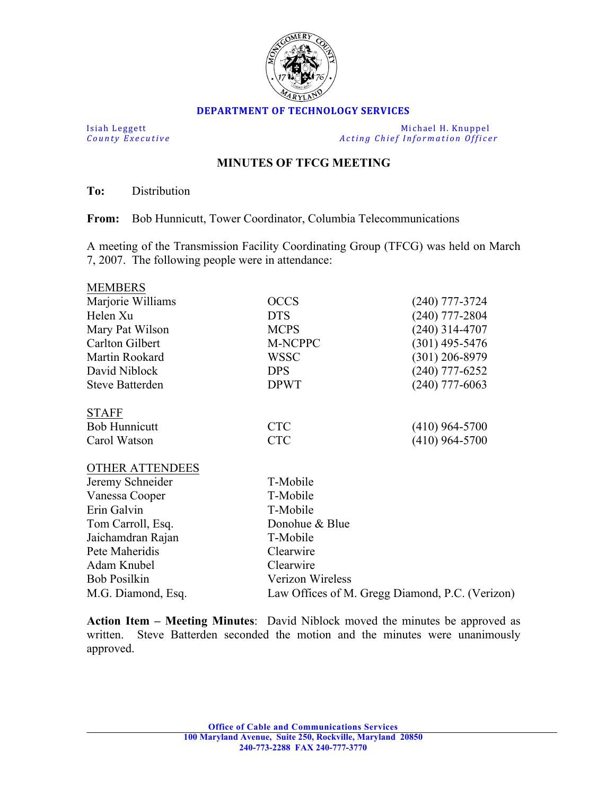

## **DEPARTMENT OF TECHNOLOGY SERVICES**

Isiah Leggett Michael H. Knuppel<br>
County Executive County Executive Acting Chief Information Office Acting *Chief Information Officer* 

## **MINUTES OF TFCG MEETING**

**To:** Distribution

**From:** Bob Hunnicutt, Tower Coordinator, Columbia Telecommunications

A meeting of the Transmission Facility Coordinating Group (TFCG) was held on March 7, 2007. The following people were in attendance:

| <b>MEMBERS</b>         |                                                 |                  |
|------------------------|-------------------------------------------------|------------------|
| Marjorie Williams      | <b>OCCS</b>                                     | $(240)$ 777-3724 |
| Helen Xu               | <b>DTS</b>                                      | $(240)$ 777-2804 |
| Mary Pat Wilson        | <b>MCPS</b>                                     | $(240)$ 314-4707 |
| <b>Carlton Gilbert</b> | M-NCPPC                                         | $(301)$ 495-5476 |
| Martin Rookard         | <b>WSSC</b>                                     | $(301)$ 206-8979 |
| David Niblock          | <b>DPS</b>                                      | $(240)$ 777-6252 |
| <b>Steve Batterden</b> | <b>DPWT</b>                                     | $(240)$ 777-6063 |
| <b>STAFF</b>           |                                                 |                  |
| <b>Bob Hunnicutt</b>   | <b>CTC</b>                                      | $(410)$ 964-5700 |
| Carol Watson           | <b>CTC</b>                                      | $(410)$ 964-5700 |
| <b>OTHER ATTENDEES</b> |                                                 |                  |
| Jeremy Schneider       | T-Mobile                                        |                  |
| Vanessa Cooper         | T-Mobile                                        |                  |
| Erin Galvin            | T-Mobile                                        |                  |
| Tom Carroll, Esq.      | Donohue & Blue                                  |                  |
| Jaichamdran Rajan      | T-Mobile                                        |                  |
| Pete Maheridis         | Clearwire                                       |                  |
| Adam Knubel            | Clearwire                                       |                  |
| <b>Bob Posilkin</b>    | Verizon Wireless                                |                  |
| M.G. Diamond, Esq.     | Law Offices of M. Gregg Diamond, P.C. (Verizon) |                  |

**Action Item – Meeting Minutes**:David Niblock moved the minutes be approved as written. Steve Batterden seconded the motion and the minutes were unanimously approved.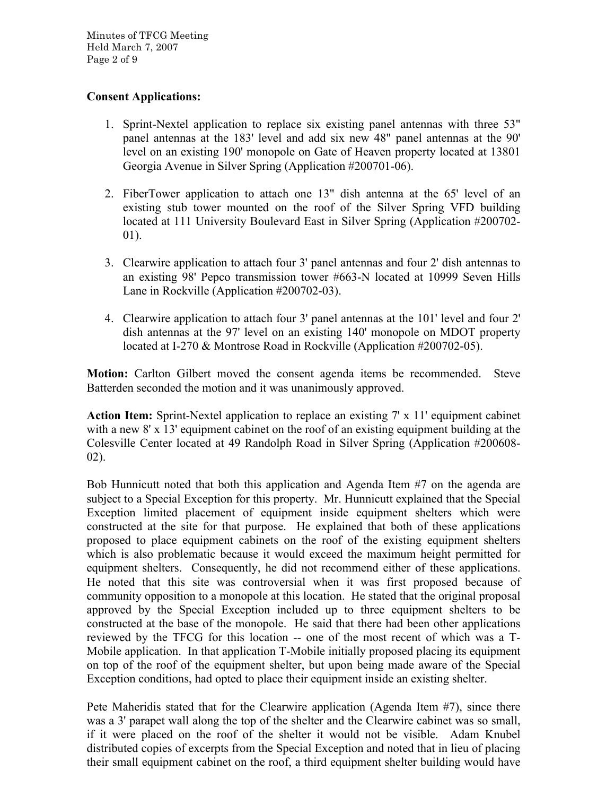Minutes of TFCG Meeting Held March 7, 2007 Page 2 of 9

## **Consent Applications:**

- 1. Sprint-Nextel application to replace six existing panel antennas with three 53" panel antennas at the 183' level and add six new 48" panel antennas at the 90' level on an existing 190' monopole on Gate of Heaven property located at 13801 Georgia Avenue in Silver Spring (Application #200701-06).
- 2. FiberTower application to attach one 13" dish antenna at the 65' level of an existing stub tower mounted on the roof of the Silver Spring VFD building located at 111 University Boulevard East in Silver Spring (Application #200702- 01).
- 3. Clearwire application to attach four 3' panel antennas and four 2' dish antennas to an existing 98' Pepco transmission tower #663-N located at 10999 Seven Hills Lane in Rockville (Application #200702-03).
- 4. Clearwire application to attach four 3' panel antennas at the 101' level and four 2' dish antennas at the 97' level on an existing 140' monopole on MDOT property located at I-270 & Montrose Road in Rockville (Application #200702-05).

**Motion:** Carlton Gilbert moved the consent agenda items be recommended. Steve Batterden seconded the motion and it was unanimously approved.

**Action Item:** Sprint-Nextel application to replace an existing 7' x 11' equipment cabinet with a new 8' x 13' equipment cabinet on the roof of an existing equipment building at the Colesville Center located at 49 Randolph Road in Silver Spring (Application #200608- 02).

Bob Hunnicutt noted that both this application and Agenda Item #7 on the agenda are subject to a Special Exception for this property. Mr. Hunnicutt explained that the Special Exception limited placement of equipment inside equipment shelters which were constructed at the site for that purpose. He explained that both of these applications proposed to place equipment cabinets on the roof of the existing equipment shelters which is also problematic because it would exceed the maximum height permitted for equipment shelters. Consequently, he did not recommend either of these applications. He noted that this site was controversial when it was first proposed because of community opposition to a monopole at this location. He stated that the original proposal approved by the Special Exception included up to three equipment shelters to be constructed at the base of the monopole. He said that there had been other applications reviewed by the TFCG for this location -- one of the most recent of which was a T-Mobile application. In that application T-Mobile initially proposed placing its equipment on top of the roof of the equipment shelter, but upon being made aware of the Special Exception conditions, had opted to place their equipment inside an existing shelter.

Pete Maheridis stated that for the Clearwire application (Agenda Item #7), since there was a 3' parapet wall along the top of the shelter and the Clearwire cabinet was so small, if it were placed on the roof of the shelter it would not be visible. Adam Knubel distributed copies of excerpts from the Special Exception and noted that in lieu of placing their small equipment cabinet on the roof, a third equipment shelter building would have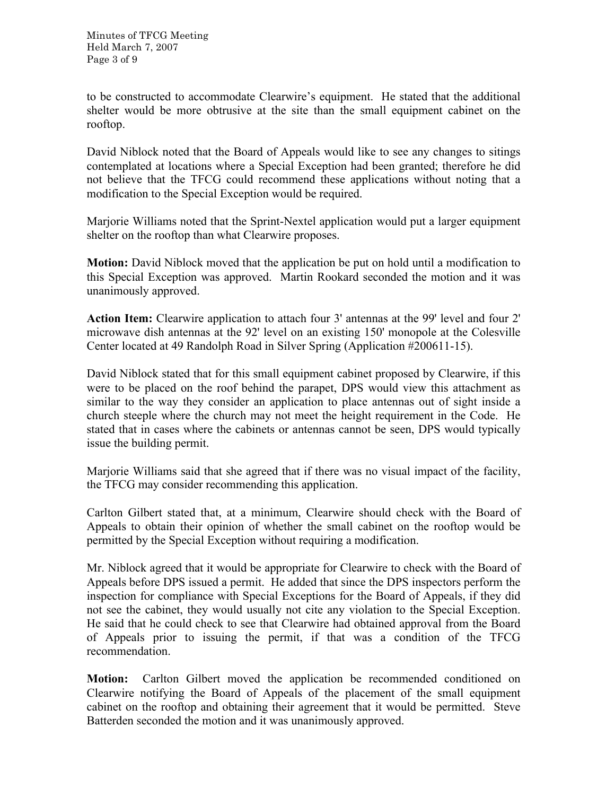to be constructed to accommodate Clearwire's equipment. He stated that the additional shelter would be more obtrusive at the site than the small equipment cabinet on the rooftop.

David Niblock noted that the Board of Appeals would like to see any changes to sitings contemplated at locations where a Special Exception had been granted; therefore he did not believe that the TFCG could recommend these applications without noting that a modification to the Special Exception would be required.

Marjorie Williams noted that the Sprint-Nextel application would put a larger equipment shelter on the rooftop than what Clearwire proposes.

**Motion:** David Niblock moved that the application be put on hold until a modification to this Special Exception was approved. Martin Rookard seconded the motion and it was unanimously approved.

**Action Item:** Clearwire application to attach four 3' antennas at the 99' level and four 2' microwave dish antennas at the 92' level on an existing 150' monopole at the Colesville Center located at 49 Randolph Road in Silver Spring (Application #200611-15).

David Niblock stated that for this small equipment cabinet proposed by Clearwire, if this were to be placed on the roof behind the parapet, DPS would view this attachment as similar to the way they consider an application to place antennas out of sight inside a church steeple where the church may not meet the height requirement in the Code. He stated that in cases where the cabinets or antennas cannot be seen, DPS would typically issue the building permit.

Marjorie Williams said that she agreed that if there was no visual impact of the facility, the TFCG may consider recommending this application.

Carlton Gilbert stated that, at a minimum, Clearwire should check with the Board of Appeals to obtain their opinion of whether the small cabinet on the rooftop would be permitted by the Special Exception without requiring a modification.

Mr. Niblock agreed that it would be appropriate for Clearwire to check with the Board of Appeals before DPS issued a permit. He added that since the DPS inspectors perform the inspection for compliance with Special Exceptions for the Board of Appeals, if they did not see the cabinet, they would usually not cite any violation to the Special Exception. He said that he could check to see that Clearwire had obtained approval from the Board of Appeals prior to issuing the permit, if that was a condition of the TFCG recommendation.

**Motion:** Carlton Gilbert moved the application be recommended conditioned on Clearwire notifying the Board of Appeals of the placement of the small equipment cabinet on the rooftop and obtaining their agreement that it would be permitted. Steve Batterden seconded the motion and it was unanimously approved.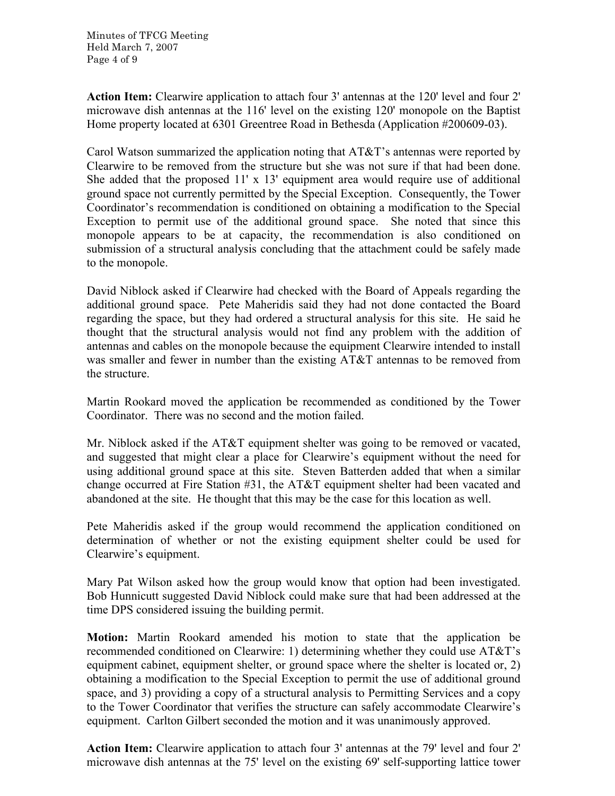Minutes of TFCG Meeting Held March 7, 2007 Page 4 of 9

**Action Item:** Clearwire application to attach four 3' antennas at the 120' level and four 2' microwave dish antennas at the 116' level on the existing 120' monopole on the Baptist Home property located at 6301 Greentree Road in Bethesda (Application #200609-03).

Carol Watson summarized the application noting that AT&T's antennas were reported by Clearwire to be removed from the structure but she was not sure if that had been done. She added that the proposed 11' x 13' equipment area would require use of additional ground space not currently permitted by the Special Exception. Consequently, the Tower Coordinator's recommendation is conditioned on obtaining a modification to the Special Exception to permit use of the additional ground space. She noted that since this monopole appears to be at capacity, the recommendation is also conditioned on submission of a structural analysis concluding that the attachment could be safely made to the monopole.

David Niblock asked if Clearwire had checked with the Board of Appeals regarding the additional ground space. Pete Maheridis said they had not done contacted the Board regarding the space, but they had ordered a structural analysis for this site. He said he thought that the structural analysis would not find any problem with the addition of antennas and cables on the monopole because the equipment Clearwire intended to install was smaller and fewer in number than the existing AT&T antennas to be removed from the structure.

Martin Rookard moved the application be recommended as conditioned by the Tower Coordinator. There was no second and the motion failed.

Mr. Niblock asked if the AT&T equipment shelter was going to be removed or vacated, and suggested that might clear a place for Clearwire's equipment without the need for using additional ground space at this site. Steven Batterden added that when a similar change occurred at Fire Station #31, the AT&T equipment shelter had been vacated and abandoned at the site. He thought that this may be the case for this location as well.

Pete Maheridis asked if the group would recommend the application conditioned on determination of whether or not the existing equipment shelter could be used for Clearwire's equipment.

Mary Pat Wilson asked how the group would know that option had been investigated. Bob Hunnicutt suggested David Niblock could make sure that had been addressed at the time DPS considered issuing the building permit.

**Motion:** Martin Rookard amended his motion to state that the application be recommended conditioned on Clearwire: 1) determining whether they could use AT&T's equipment cabinet, equipment shelter, or ground space where the shelter is located or, 2) obtaining a modification to the Special Exception to permit the use of additional ground space, and 3) providing a copy of a structural analysis to Permitting Services and a copy to the Tower Coordinator that verifies the structure can safely accommodate Clearwire's equipment. Carlton Gilbert seconded the motion and it was unanimously approved.

**Action Item:** Clearwire application to attach four 3' antennas at the 79' level and four 2' microwave dish antennas at the 75' level on the existing 69' self-supporting lattice tower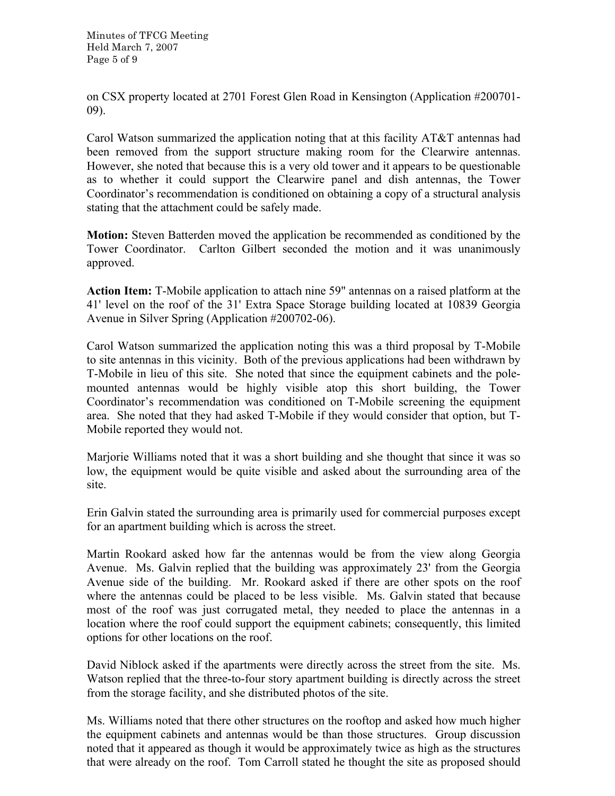Minutes of TFCG Meeting Held March 7, 2007 Page 5 of 9

on CSX property located at 2701 Forest Glen Road in Kensington (Application #200701- 09).

Carol Watson summarized the application noting that at this facility AT&T antennas had been removed from the support structure making room for the Clearwire antennas. However, she noted that because this is a very old tower and it appears to be questionable as to whether it could support the Clearwire panel and dish antennas, the Tower Coordinator's recommendation is conditioned on obtaining a copy of a structural analysis stating that the attachment could be safely made.

**Motion:** Steven Batterden moved the application be recommended as conditioned by the Tower Coordinator. Carlton Gilbert seconded the motion and it was unanimously approved.

**Action Item:** T-Mobile application to attach nine 59" antennas on a raised platform at the 41' level on the roof of the 31' Extra Space Storage building located at 10839 Georgia Avenue in Silver Spring (Application #200702-06).

Carol Watson summarized the application noting this was a third proposal by T-Mobile to site antennas in this vicinity. Both of the previous applications had been withdrawn by T-Mobile in lieu of this site. She noted that since the equipment cabinets and the polemounted antennas would be highly visible atop this short building, the Tower Coordinator's recommendation was conditioned on T-Mobile screening the equipment area. She noted that they had asked T-Mobile if they would consider that option, but T-Mobile reported they would not.

Marjorie Williams noted that it was a short building and she thought that since it was so low, the equipment would be quite visible and asked about the surrounding area of the site.

Erin Galvin stated the surrounding area is primarily used for commercial purposes except for an apartment building which is across the street.

Martin Rookard asked how far the antennas would be from the view along Georgia Avenue. Ms. Galvin replied that the building was approximately 23' from the Georgia Avenue side of the building. Mr. Rookard asked if there are other spots on the roof where the antennas could be placed to be less visible. Ms. Galvin stated that because most of the roof was just corrugated metal, they needed to place the antennas in a location where the roof could support the equipment cabinets; consequently, this limited options for other locations on the roof.

David Niblock asked if the apartments were directly across the street from the site. Ms. Watson replied that the three-to-four story apartment building is directly across the street from the storage facility, and she distributed photos of the site.

Ms. Williams noted that there other structures on the rooftop and asked how much higher the equipment cabinets and antennas would be than those structures. Group discussion noted that it appeared as though it would be approximately twice as high as the structures that were already on the roof. Tom Carroll stated he thought the site as proposed should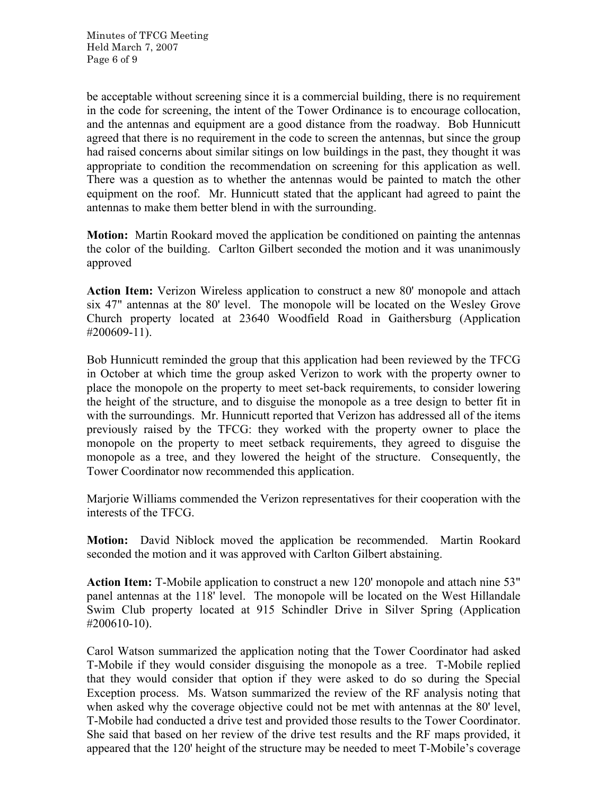be acceptable without screening since it is a commercial building, there is no requirement in the code for screening, the intent of the Tower Ordinance is to encourage collocation, and the antennas and equipment are a good distance from the roadway. Bob Hunnicutt agreed that there is no requirement in the code to screen the antennas, but since the group had raised concerns about similar sitings on low buildings in the past, they thought it was appropriate to condition the recommendation on screening for this application as well. There was a question as to whether the antennas would be painted to match the other equipment on the roof. Mr. Hunnicutt stated that the applicant had agreed to paint the antennas to make them better blend in with the surrounding.

**Motion:** Martin Rookard moved the application be conditioned on painting the antennas the color of the building. Carlton Gilbert seconded the motion and it was unanimously approved

**Action Item:** Verizon Wireless application to construct a new 80' monopole and attach six 47" antennas at the 80' level. The monopole will be located on the Wesley Grove Church property located at 23640 Woodfield Road in Gaithersburg (Application #200609-11).

Bob Hunnicutt reminded the group that this application had been reviewed by the TFCG in October at which time the group asked Verizon to work with the property owner to place the monopole on the property to meet set-back requirements, to consider lowering the height of the structure, and to disguise the monopole as a tree design to better fit in with the surroundings. Mr. Hunnicutt reported that Verizon has addressed all of the items previously raised by the TFCG: they worked with the property owner to place the monopole on the property to meet setback requirements, they agreed to disguise the monopole as a tree, and they lowered the height of the structure. Consequently, the Tower Coordinator now recommended this application.

Marjorie Williams commended the Verizon representatives for their cooperation with the interests of the TFCG.

**Motion:** David Niblock moved the application be recommended. Martin Rookard seconded the motion and it was approved with Carlton Gilbert abstaining.

**Action Item:** T-Mobile application to construct a new 120' monopole and attach nine 53" panel antennas at the 118' level. The monopole will be located on the West Hillandale Swim Club property located at 915 Schindler Drive in Silver Spring (Application #200610-10).

Carol Watson summarized the application noting that the Tower Coordinator had asked T-Mobile if they would consider disguising the monopole as a tree. T-Mobile replied that they would consider that option if they were asked to do so during the Special Exception process. Ms. Watson summarized the review of the RF analysis noting that when asked why the coverage objective could not be met with antennas at the 80' level, T-Mobile had conducted a drive test and provided those results to the Tower Coordinator. She said that based on her review of the drive test results and the RF maps provided, it appeared that the 120' height of the structure may be needed to meet T-Mobile's coverage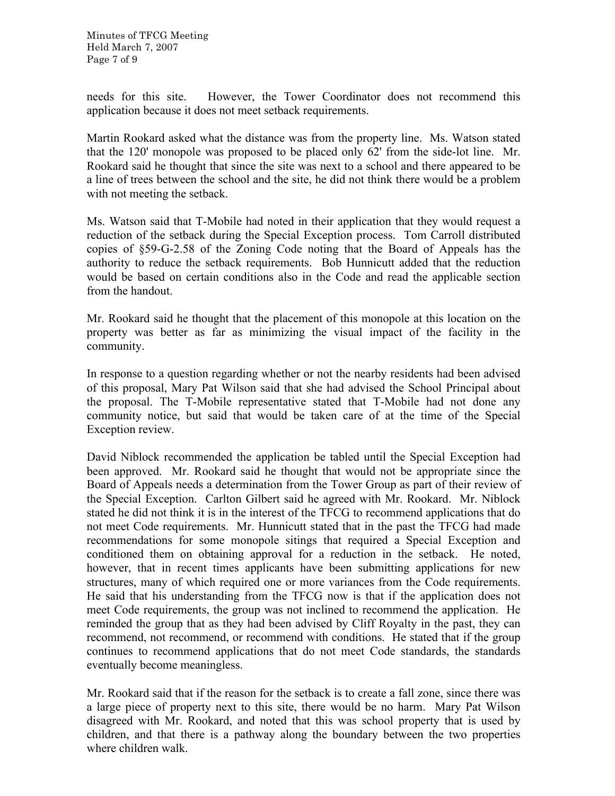needs for this site. However, the Tower Coordinator does not recommend this application because it does not meet setback requirements.

Martin Rookard asked what the distance was from the property line. Ms. Watson stated that the 120' monopole was proposed to be placed only 62' from the side-lot line. Mr. Rookard said he thought that since the site was next to a school and there appeared to be a line of trees between the school and the site, he did not think there would be a problem with not meeting the setback.

Ms. Watson said that T-Mobile had noted in their application that they would request a reduction of the setback during the Special Exception process. Tom Carroll distributed copies of §59-G-2.58 of the Zoning Code noting that the Board of Appeals has the authority to reduce the setback requirements. Bob Hunnicutt added that the reduction would be based on certain conditions also in the Code and read the applicable section from the handout.

Mr. Rookard said he thought that the placement of this monopole at this location on the property was better as far as minimizing the visual impact of the facility in the community.

In response to a question regarding whether or not the nearby residents had been advised of this proposal, Mary Pat Wilson said that she had advised the School Principal about the proposal. The T-Mobile representative stated that T-Mobile had not done any community notice, but said that would be taken care of at the time of the Special Exception review.

David Niblock recommended the application be tabled until the Special Exception had been approved. Mr. Rookard said he thought that would not be appropriate since the Board of Appeals needs a determination from the Tower Group as part of their review of the Special Exception. Carlton Gilbert said he agreed with Mr. Rookard. Mr. Niblock stated he did not think it is in the interest of the TFCG to recommend applications that do not meet Code requirements. Mr. Hunnicutt stated that in the past the TFCG had made recommendations for some monopole sitings that required a Special Exception and conditioned them on obtaining approval for a reduction in the setback. He noted, however, that in recent times applicants have been submitting applications for new structures, many of which required one or more variances from the Code requirements. He said that his understanding from the TFCG now is that if the application does not meet Code requirements, the group was not inclined to recommend the application. He reminded the group that as they had been advised by Cliff Royalty in the past, they can recommend, not recommend, or recommend with conditions. He stated that if the group continues to recommend applications that do not meet Code standards, the standards eventually become meaningless.

Mr. Rookard said that if the reason for the setback is to create a fall zone, since there was a large piece of property next to this site, there would be no harm. Mary Pat Wilson disagreed with Mr. Rookard, and noted that this was school property that is used by children, and that there is a pathway along the boundary between the two properties where children walk.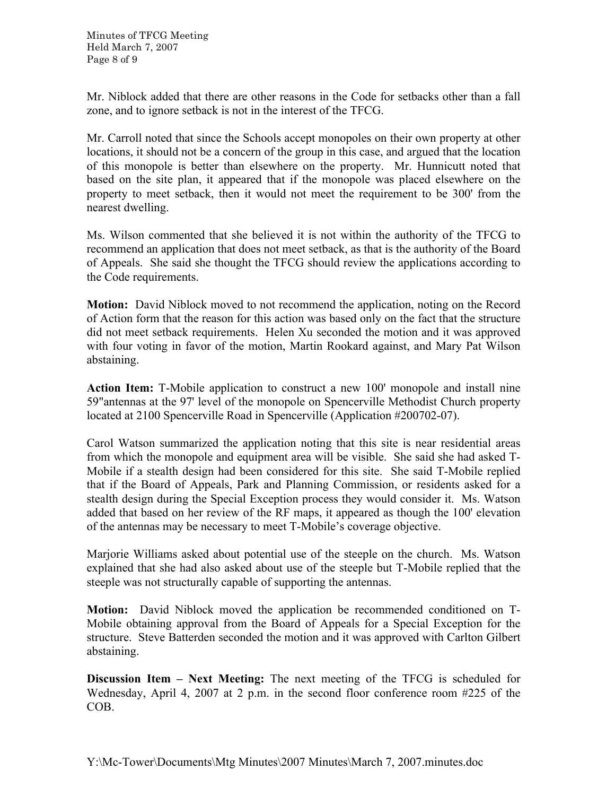Mr. Niblock added that there are other reasons in the Code for setbacks other than a fall zone, and to ignore setback is not in the interest of the TFCG.

Mr. Carroll noted that since the Schools accept monopoles on their own property at other locations, it should not be a concern of the group in this case, and argued that the location of this monopole is better than elsewhere on the property. Mr. Hunnicutt noted that based on the site plan, it appeared that if the monopole was placed elsewhere on the property to meet setback, then it would not meet the requirement to be 300' from the nearest dwelling.

Ms. Wilson commented that she believed it is not within the authority of the TFCG to recommend an application that does not meet setback, as that is the authority of the Board of Appeals. She said she thought the TFCG should review the applications according to the Code requirements.

**Motion:** David Niblock moved to not recommend the application, noting on the Record of Action form that the reason for this action was based only on the fact that the structure did not meet setback requirements. Helen Xu seconded the motion and it was approved with four voting in favor of the motion, Martin Rookard against, and Mary Pat Wilson abstaining.

**Action Item:** T-Mobile application to construct a new 100' monopole and install nine 59"antennas at the 97' level of the monopole on Spencerville Methodist Church property located at 2100 Spencerville Road in Spencerville (Application #200702-07).

Carol Watson summarized the application noting that this site is near residential areas from which the monopole and equipment area will be visible. She said she had asked T-Mobile if a stealth design had been considered for this site. She said T-Mobile replied that if the Board of Appeals, Park and Planning Commission, or residents asked for a stealth design during the Special Exception process they would consider it. Ms. Watson added that based on her review of the RF maps, it appeared as though the 100' elevation of the antennas may be necessary to meet T-Mobile's coverage objective.

Marjorie Williams asked about potential use of the steeple on the church. Ms. Watson explained that she had also asked about use of the steeple but T-Mobile replied that the steeple was not structurally capable of supporting the antennas.

**Motion:** David Niblock moved the application be recommended conditioned on T-Mobile obtaining approval from the Board of Appeals for a Special Exception for the structure. Steve Batterden seconded the motion and it was approved with Carlton Gilbert abstaining.

**Discussion Item – Next Meeting:** The next meeting of the TFCG is scheduled for Wednesday, April 4, 2007 at 2 p.m. in the second floor conference room #225 of the COB.